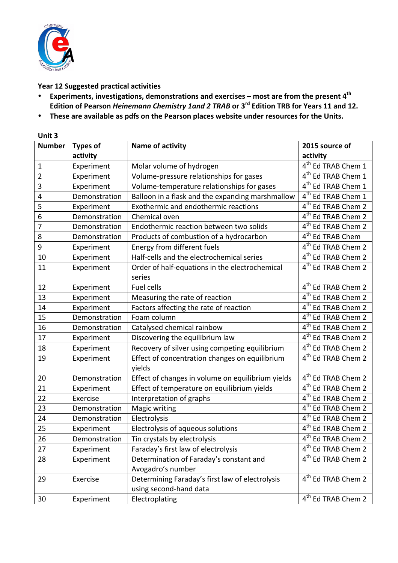

## Year 12 Suggested practical activities

- Experiments, investigations, demonstrations and exercises most are from the present 4<sup>th</sup> Edition of Pearson *Heinemann Chemistry 1and 2 TRAB* or 3<sup>rd</sup> Edition TRB for Years 11 and 12.
- These are available as pdfs on the Pearson places website under resources for the Units.

| Unit 3        |                 |                                                          |                                           |  |  |
|---------------|-----------------|----------------------------------------------------------|-------------------------------------------|--|--|
| <b>Number</b> | <b>Types of</b> | Name of activity                                         | 2015 source of                            |  |  |
|               | activity        |                                                          | activity                                  |  |  |
| $\mathbf{1}$  | Experiment      | Molar volume of hydrogen                                 | 4 <sup>th</sup> Ed TRAB Chem 1            |  |  |
| 2             | Experiment      | Volume-pressure relationships for gases                  | 4 <sup>th</sup> Ed TRAB Chem 1            |  |  |
| 3             | Experiment      | Volume-temperature relationships for gases               | 4 <sup>th</sup> Ed TRAB Chem 1            |  |  |
| 4             | Demonstration   | Balloon in a flask and the expanding marshmallow         | 4 <sup>th</sup> Ed TRAB Chem 1            |  |  |
| 5             | Experiment      | Exothermic and endothermic reactions                     | $\overline{4}^{\text{th}}$ Ed TRAB Chem 2 |  |  |
| 6             | Demonstration   | Chemical oven                                            | 4 <sup>th</sup> Ed TRAB Chem 2            |  |  |
| 7             | Demonstration   | Endothermic reaction between two solids                  | 4 <sup>th</sup> Ed TRAB Chem 2            |  |  |
| 8             | Demonstration   | Products of combustion of a hydrocarbon                  | 4 <sup>th</sup> Ed TRAB Chem              |  |  |
| 9             | Experiment      | Energy from different fuels                              | 4 <sup>th</sup> Ed TRAB Chem 2            |  |  |
| 10            | Experiment      | Half-cells and the electrochemical series                | 4 <sup>th</sup> Ed TRAB Chem 2            |  |  |
| 11            | Experiment      | Order of half-equations in the electrochemical           | 4 <sup>th</sup> Ed TRAB Chem 2            |  |  |
|               |                 | series                                                   |                                           |  |  |
| 12            | Experiment      | Fuel cells                                               | 4 <sup>th</sup> Ed TRAB Chem 2            |  |  |
| 13            | Experiment      | Measuring the rate of reaction                           | 4 <sup>th</sup> Ed TRAB Chem 2            |  |  |
| 14            | Experiment      | Factors affecting the rate of reaction                   | 4 <sup>th</sup> Ed TRAB Chem 2            |  |  |
| 15            | Demonstration   | Foam column                                              | $\overline{4^{th}}$ Ed TRAB Chem 2        |  |  |
| 16            | Demonstration   | Catalysed chemical rainbow                               | 4 <sup>th</sup> Ed TRAB Chem 2            |  |  |
| 17            | Experiment      | Discovering the equilibrium law                          | 4 <sup>th</sup> Ed TRAB Chem 2            |  |  |
| 18            | Experiment      | Recovery of silver using competing equilibrium           | 4 <sup>th</sup> Ed TRAB Chem 2            |  |  |
| 19            | Experiment      | Effect of concentration changes on equilibrium<br>yields | 4 <sup>th</sup> Ed TRAB Chem 2            |  |  |
| 20            | Demonstration   | Effect of changes in volume on equilibrium yields        | 4 <sup>th</sup> Ed TRAB Chem 2            |  |  |
| 21            | Experiment      | Effect of temperature on equilibrium yields              | 4 <sup>th</sup> Ed TRAB Chem 2            |  |  |
| 22            | Exercise        | Interpretation of graphs                                 | $\overline{4^{th}}$ Ed TRAB Chem 2        |  |  |
| 23            | Demonstration   | Magic writing                                            | 4 <sup>th</sup> Ed TRAB Chem 2            |  |  |
| 24            | Demonstration   | Electrolysis                                             | 4 <sup>th</sup> Ed TRAB Chem 2            |  |  |
| 25            | Experiment      | Electrolysis of aqueous solutions                        | $4th$ Ed TRAB Chem 2                      |  |  |
| 26            | Demonstration   | Tin crystals by electrolysis                             | $\overline{4}^{\text{th}}$ Ed TRAB Chem 2 |  |  |
| 27            | Experiment      | Faraday's first law of electrolysis                      | 4 <sup>th</sup> Ed TRAB Chem 2            |  |  |
| 28            | Experiment      | Determination of Faraday's constant and                  | 4 <sup>th</sup> Ed TRAB Chem 2            |  |  |
|               |                 | Avogadro's number                                        |                                           |  |  |
| 29            | Exercise        | Determining Faraday's first law of electrolysis          | 4 <sup>th</sup> Ed TRAB Chem 2            |  |  |
|               |                 | using second-hand data                                   |                                           |  |  |
| 30            | Experiment      | Electroplating                                           | 4 <sup>th</sup> Ed TRAB Chem 2            |  |  |